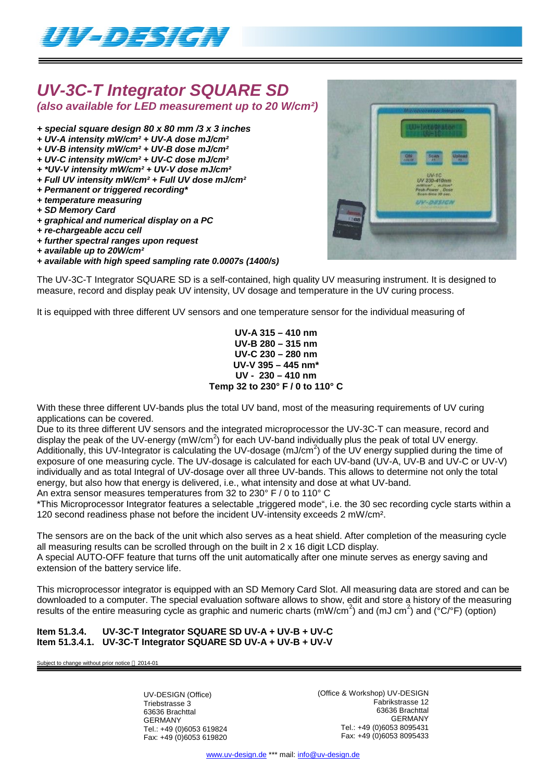

# *UV-3C-T Integrator SQUARE SD*

*(also available for LED measurement up to 20 W/cm²)*

- *+ special square design 80 x 80 mm /3 x 3 inches*
- *+ UV-A intensity mW/cm² + UV-A dose mJ/cm²*
- *+ UV-B intensity mW/cm² + UV-B dose mJ/cm²*
- *+ UV-C intensity mW/cm² + UV-C dose mJ/cm²*
- *+ \*UV-V intensity mW/cm² + UV-V dose mJ/cm²*
- *+ Full UV intensity mW/cm² + Full UV dose mJ/cm²*
- *+ Permanent or triggered recording\* + temperature measuring*
- *+ SD Memory Card*
- *+ graphical and numerical display on a PC*
- *+ re-chargeable accu cell*
- *+ further spectral ranges upon request*
- *+ available up to 20W/cm²*
- *+ available with high speed sampling rate 0.0007s (1400/s)*

The UV-3C-T Integrator SQUARE SD is a self-contained, high quality UV measuring instrument. It is designed to measure, record and display peak UV intensity, UV dosage and temperature in the UV curing process.

It is equipped with three different UV sensors and one temperature sensor for the individual measuring of

**UV-A 315 – 410 nm UV-B 280 – 315 nm UV-C 230 – 280 nm UV-V 395 – 445 nm\* UV - 230 – 410 nm Temp 32 to 230° F / 0 to 110° C**

With these three different UV-bands plus the total UV band, most of the measuring requirements of UV curing applications can be covered.

Due to its three different UV sensors and the integrated microprocessor the UV-3C-T can measure, record and display the peak of the UV-energy (mW/cm<sup>2</sup>) for each UV-band individually plus the peak of total UV energy. Additionally, this UV-Integrator is calculating the UV-dosage (mJ/cm<sup>2</sup>) of the UV energy supplied during the time of exposure of one measuring cycle. The UV-dosage is calculated for each UV-band (UV-A, UV-B and UV-C or UV-V) individually and as total Integral of UV-dosage over all three UV-bands. This allows to determine not only the total energy, but also how that energy is delivered, i.e., what intensity and dose at what UV-band.

An extra sensor measures temperatures from 32 to 230° F / 0 to 110° C

\*This Microprocessor Integrator features a selectable "triggered mode", i.e. the 30 sec recording cycle starts within a 120 second readiness phase not before the incident UV-intensity exceeds 2 mW/cm².

The sensors are on the back of the unit which also serves as a heat shield. After completion of the measuring cycle all measuring results can be scrolled through on the built in 2 x 16 digit LCD display.

A special AUTO-OFF feature that turns off the unit automatically after one minute serves as energy saving and extension of the battery service life.

This microprocessor integrator is equipped with an SD Memory Card Slot. All measuring data are stored and can be downloaded to a computer. The special evaluation software allows to show, edit and store a history of the measuring results of the entire measuring cycle as graphic and numeric charts (mW/cm<sup>2</sup>) and (mJ cm<sup>2</sup>) and (°C/°F) (option)

### **Item 51.3.4. UV-3C-T Integrator SQUARE SD UV-A + UV-B + UV-C Item 51.3.4.1. UV-3C-T Integrator SQUARE SD UV-A + UV-B + UV-V**

Subject to change without prior notice  $@$  2014-01

UV-DESIGN (Office) Triebstrasse 3 63636 Brachttal GERMANY Tel.: +49 (0)6053 619824 Fax: +49 (0)6053 619820 (Office & Workshop) UV-DESIGN Fabrikstrasse 12 63636 Brachttal GERMANY Tel.: +49 (0)6053 8095431 Fax: +49 (0)6053 8095433